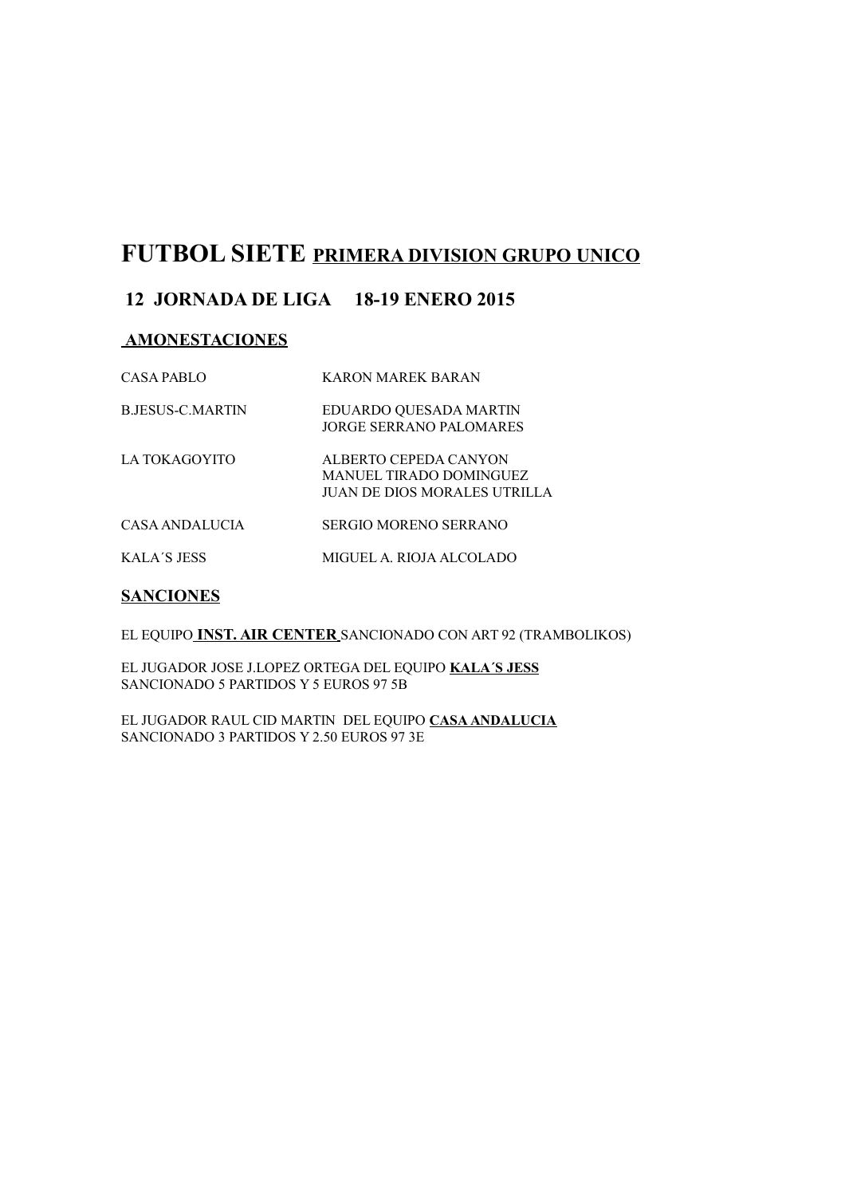## **FUTBOL SIETE PRIMERA DIVISION GRUPO UNICO**

### **12 JORNADA DE LIGA 18-19 ENERO 2015**

#### **AMONESTACIONES**

| CASA PABLO              | <b>KARON MAREK BARAN</b>                                                         |
|-------------------------|----------------------------------------------------------------------------------|
| <b>B.JESUS-C.MARTIN</b> | EDUARDO QUESADA MARTIN<br>JORGE SERRANO PALOMARES                                |
| LA TOKAGOYITO           | ALBERTO CEPEDA CANYON<br>MANUEL TIRADO DOMINGUEZ<br>JUAN DE DIOS MORALES UTRILLA |
| CASA ANDALUCIA          | SERGIO MORENO SERRANO                                                            |
| <b>KALA'S JESS</b>      | MIGUEL A. RIOJA ALCOLADO                                                         |

#### **SANCIONES**

EL EQUIPO **INST. AIR CENTER** SANCIONADO CON ART 92 (TRAMBOLIKOS)

EL JUGADOR JOSE J.LOPEZ ORTEGA DEL EQUIPO **KALA´S JESS** SANCIONADO 5 PARTIDOS Y 5 EUROS 97 5B

EL JUGADOR RAUL CID MARTIN DEL EQUIPO **CASA ANDALUCIA** SANCIONADO 3 PARTIDOS Y 2.50 EUROS 97 3E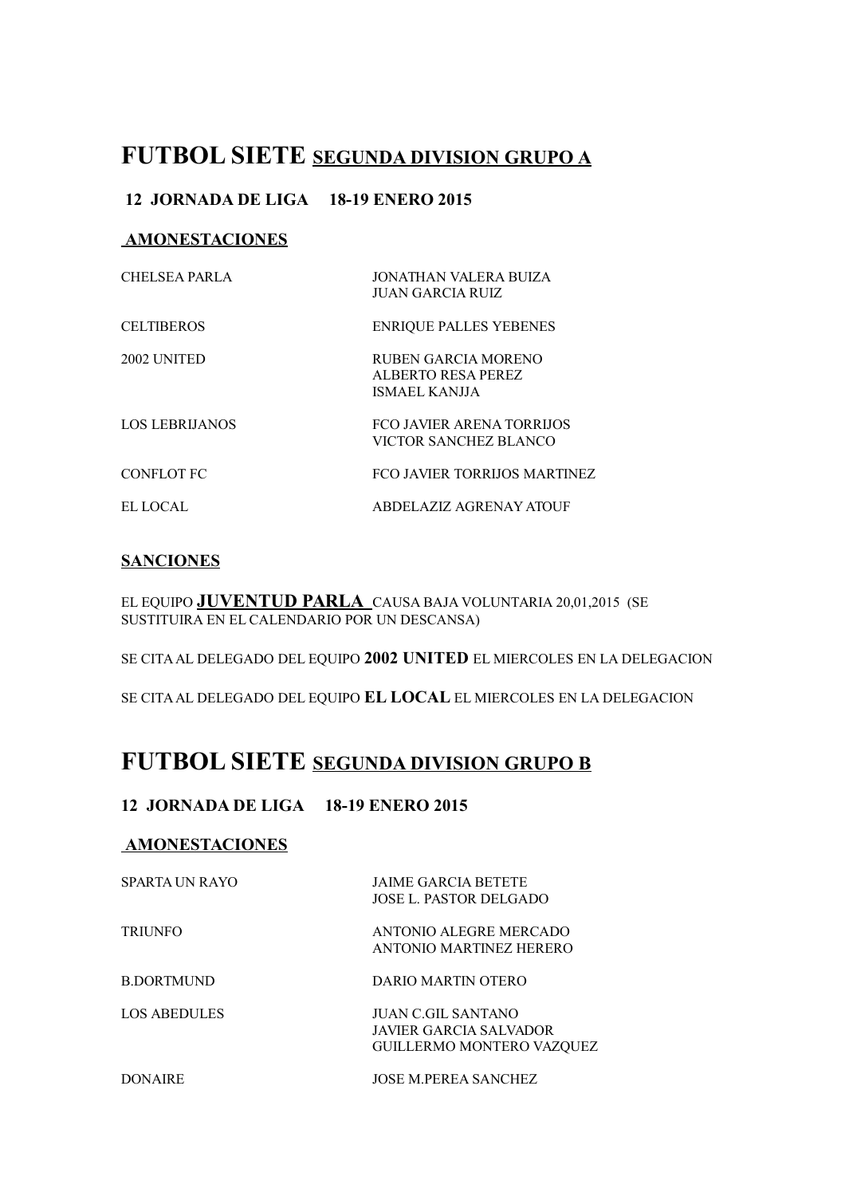## **FUTBOL SIETE SEGUNDA DIVISION GRUPO A**

### **12 JORNADA DE LIGA 18-19 ENERO 2015**

#### **AMONESTACIONES**

| CHELSEA PARLA         | JONATHAN VALERA BUIZA<br>JUAN GARCIA RUIZ                  |
|-----------------------|------------------------------------------------------------|
| <b>CELTIBEROS</b>     | <b>ENRIQUE PALLES YEBENES</b>                              |
| 2002 UNITED           | RUBEN GARCIA MORENO<br>ALBERTO RESA PEREZ<br>ISMAEL KANJJA |
| <b>LOS LEBRIJANOS</b> | <b>FCO JAVIER ARENA TORRIJOS</b><br>VICTOR SANCHEZ BLANCO  |
| CONFLOT FC            | FCO JAVIER TORRIJOS MARTINEZ                               |
| EL LOCAL              | ABDELAZIZ AGRENAY ATOUF                                    |

#### **SANCIONES**

EL EQUIPO **JUVENTUD PARLA** CAUSA BAJA VOLUNTARIA 20,01,2015 (SE SUSTITUIRA EN EL CALENDARIO POR UN DESCANSA)

SE CITA AL DELEGADO DEL EQUIPO **2002 UNITED** EL MIERCOLES EN LA DELEGACION

SE CITA AL DELEGADO DEL EQUIPO **EL LOCAL** EL MIERCOLES EN LA DELEGACION

# **FUTBOL SIETE SEGUNDA DIVISION GRUPO B**

### **12 JORNADA DE LIGA 18-19 ENERO 2015**

#### **AMONESTACIONES**

| SPARTA UN RAYO | <b>JAIME GARCIA BETETE</b><br>JOSE L. PASTOR DELGADO                             |
|----------------|----------------------------------------------------------------------------------|
| <b>TRIUNFO</b> | ANTONIO ALEGRE MERCADO<br>ANTONIO MARTINEZ HERERO                                |
| B DORTMUND     | DARIO MARTIN OTERO                                                               |
| LOS ABEDULES   | JUAN C.GIL SANTANO<br>JAVIER GARCIA SALVADOR<br><b>GUILLERMO MONTERO VAZOUEZ</b> |
| DONAIRE        | <b>JOSE M PEREA SANCHEZ</b>                                                      |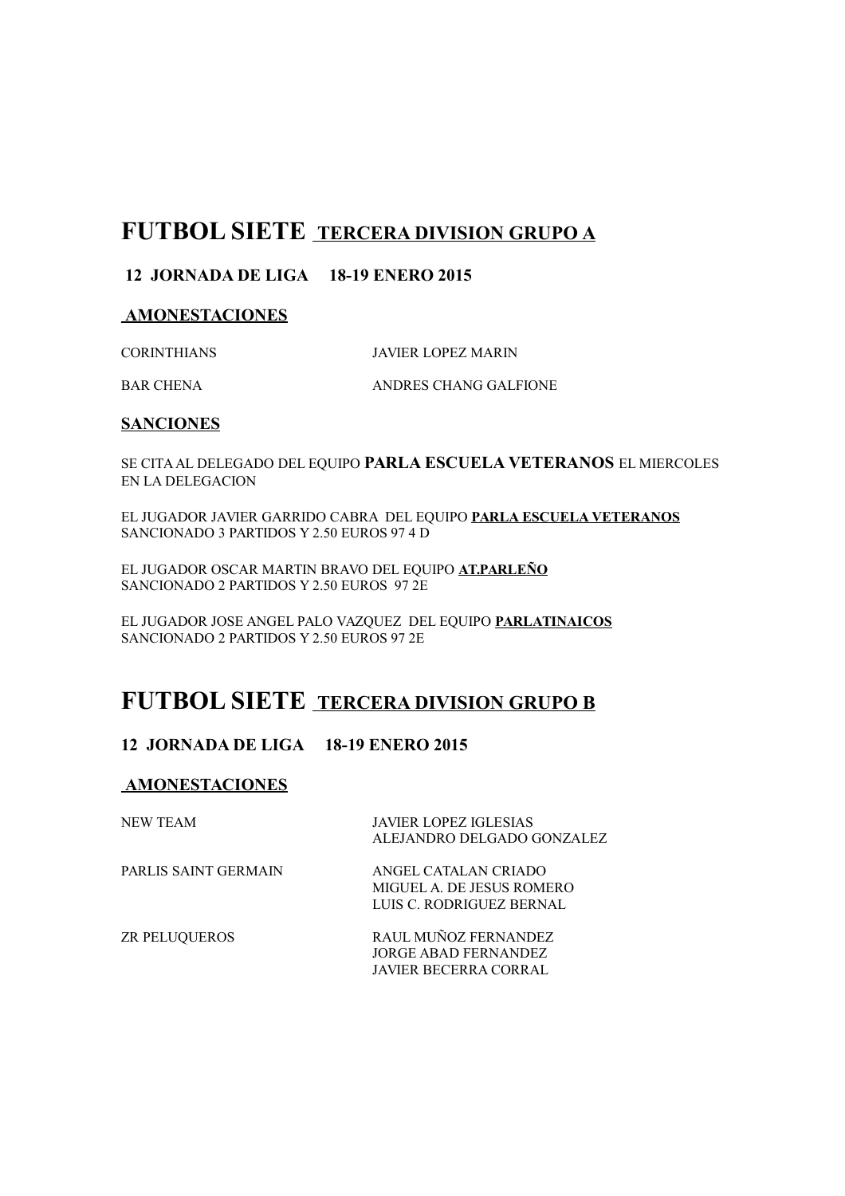## **FUTBOL SIETE TERCERA DIVISION GRUPO A**

#### **12 JORNADA DE LIGA 18-19 ENERO 2015**

#### **AMONESTACIONES**

CORINTHIANS JAVIER LOPEZ MARIN

BAR CHENA ANDRES CHANG GALFIONE

#### **SANCIONES**

SE CITA AL DELEGADO DEL EQUIPO **PARLA ESCUELA VETERANOS** EL MIERCOLES EN LA DELEGACION

EL JUGADOR JAVIER GARRIDO CABRA DEL EQUIPO **PARLA ESCUELA VETERANOS** SANCIONADO 3 PARTIDOS Y 2.50 EUROS 97 4 D

EL JUGADOR OSCAR MARTIN BRAVO DEL EQUIPO **AT.PARLEÑO** SANCIONADO 2 PARTIDOS Y 2.50 EUROS 97 2E

EL JUGADOR JOSE ANGEL PALO VAZQUEZ DEL EQUIPO **PARLATINAICOS** SANCIONADO 2 PARTIDOS Y 2.50 EUROS 97 2E

## **FUTBOL SIETE TERCERA DIVISION GRUPO B**

#### **12 JORNADA DE LIGA 18-19 ENERO 2015**

#### **AMONESTACIONES**

| NEW TEAM             | <b>JAVIER LOPEZ IGLESIAS</b><br>ALEJANDRO DELGADO GONZALEZ                    |
|----------------------|-------------------------------------------------------------------------------|
| PARLIS SAINT GERMAIN | ANGEL CATALAN CRIADO<br>MIGUEL A. DE JESUS ROMERO<br>LUIS C. RODRIGUEZ BERNAL |
| <b>ZR PELUQUEROS</b> | RAUL MUÑOZ FERNANDEZ<br>JORGE ABAD FERNANDEZ                                  |

JAVIER BECERRA CORRAL